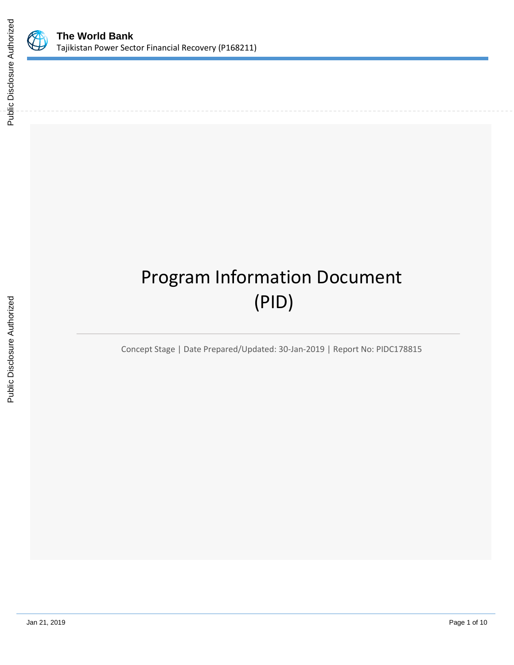

# Program Information Document (PID)

Concept Stage | Date Prepared/Updated: 30-Jan-2019 | Report No: PIDC178815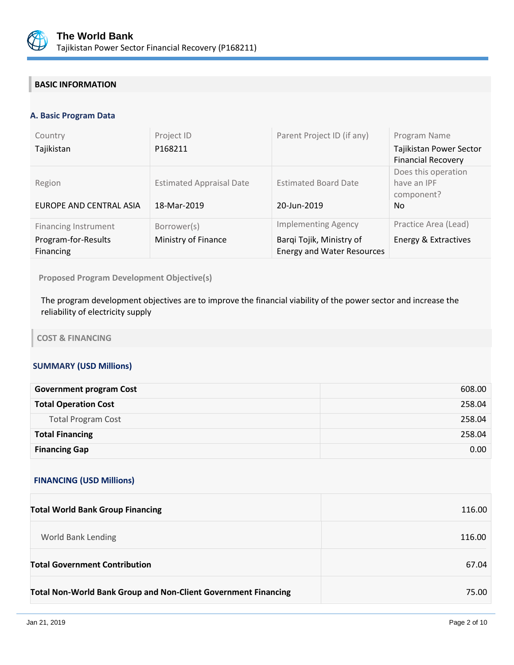

# **BASIC INFORMATION**

#### **A. Basic Program Data**

| Country<br>Tajikistan                                           | Project ID<br>P168211                          | Parent Project ID (if any)                                                                  | Program Name<br>Tajikistan Power Sector<br><b>Financial Recovery</b> |
|-----------------------------------------------------------------|------------------------------------------------|---------------------------------------------------------------------------------------------|----------------------------------------------------------------------|
| Region<br>EUROPE AND CENTRAL ASIA                               | <b>Estimated Appraisal Date</b><br>18-Mar-2019 | <b>Estimated Board Date</b><br>20-Jun-2019                                                  | Does this operation<br>have an IPF<br>component?<br>No.              |
| <b>Financing Instrument</b><br>Program-for-Results<br>Financing | Borrower(s)<br>Ministry of Finance             | <b>Implementing Agency</b><br>Barqi Tojik, Ministry of<br><b>Energy and Water Resources</b> | Practice Area (Lead)<br>Energy & Extractives                         |

**Proposed Program Development Objective(s)** 

The program development objectives are to improve the financial viability of the power sector and increase the reliability of electricity supply

**COST & FINANCING**

#### **SUMMARY (USD Millions)**

| <b>Government program Cost</b> | 608.00 |
|--------------------------------|--------|
| <b>Total Operation Cost</b>    | 258.04 |
| <b>Total Program Cost</b>      | 258.04 |
| <b>Total Financing</b>         | 258.04 |
| <b>Financing Gap</b>           | 0.00   |

#### **FINANCING (USD Millions)**

| <b>Total World Bank Group Financing</b>                               | 116.00 |
|-----------------------------------------------------------------------|--------|
| World Bank Lending                                                    | 116.00 |
| <b>Total Government Contribution</b>                                  | 67.04  |
| <b>Total Non-World Bank Group and Non-Client Government Financing</b> | 75.00  |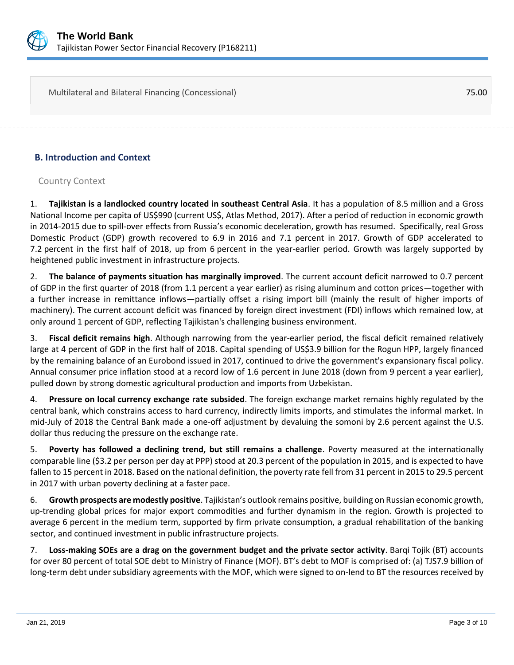

| Multilateral and Bilateral Financing (Concessional) | 75.00 |
|-----------------------------------------------------|-------|
|                                                     |       |
|                                                     |       |

# **B. Introduction and Context**

# Country Context

1. **Tajikistan is a landlocked country located in southeast Central Asia**. It has a population of 8.5 million and a Gross National Income per capita of US\$990 (current US\$, Atlas Method, 2017). After a period of reduction in economic growth in 2014-2015 due to spill-over effects from Russia's economic deceleration, growth has resumed. Specifically, real Gross Domestic Product (GDP) growth recovered to 6.9 in 2016 and 7.1 percent in 2017. Growth of GDP accelerated to 7.2 percent in the first half of 2018, up from 6 percent in the year-earlier period. Growth was largely supported by heightened public investment in infrastructure projects.

2. **The balance of payments situation has marginally improved**. The current account deficit narrowed to 0.7 percent of GDP in the first quarter of 2018 (from 1.1 percent a year earlier) as rising aluminum and cotton prices—together with a further increase in remittance inflows—partially offset a rising import bill (mainly the result of higher imports of machinery). The current account deficit was financed by foreign direct investment (FDI) inflows which remained low, at only around 1 percent of GDP, reflecting Tajikistan's challenging business environment.

3. **Fiscal deficit remains high**. Although narrowing from the year-earlier period, the fiscal deficit remained relatively large at 4 percent of GDP in the first half of 2018. Capital spending of US\$3.9 billion for the Rogun HPP, largely financed by the remaining balance of an Eurobond issued in 2017, continued to drive the government's expansionary fiscal policy. Annual consumer price inflation stood at a record low of 1.6 percent in June 2018 (down from 9 percent a year earlier), pulled down by strong domestic agricultural production and imports from Uzbekistan.

4. **Pressure on local currency exchange rate subsided**. The foreign exchange market remains highly regulated by the central bank, which constrains access to hard currency, indirectly limits imports, and stimulates the informal market. In mid-July of 2018 the Central Bank made a one-off adjustment by devaluing the somoni by 2.6 percent against the U.S. dollar thus reducing the pressure on the exchange rate.

5. **Poverty has followed a declining trend, but still remains a challenge**. Poverty measured at the internationally comparable line (\$3.2 per person per day at PPP) stood at 20.3 percent of the population in 2015, and is expected to have fallen to 15 percent in 2018. Based on the national definition, the poverty rate fell from 31 percent in 2015 to 29.5 percent in 2017 with urban poverty declining at a faster pace.

6. **Growth prospects are modestly positive**. Tajikistan's outlook remains positive, building on Russian economic growth, up-trending global prices for major export commodities and further dynamism in the region. Growth is projected to average 6 percent in the medium term, supported by firm private consumption, a gradual rehabilitation of the banking sector, and continued investment in public infrastructure projects.

7. **Loss-making SOEs are a drag on the government budget and the private sector activity**. Barqi Tojik (BT) accounts for over 80 percent of total SOE debt to Ministry of Finance (MOF). BT's debt to MOF is comprised of: (a) TJS7.9 billion of long-term debt under subsidiary agreements with the MOF, which were signed to on-lend to BT the resources received by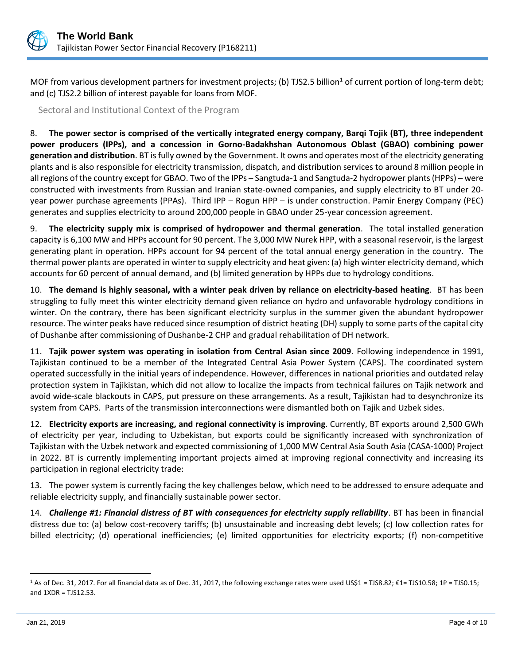

MOF from various development partners for investment projects; (b) TJS2.5 billion<sup>1</sup> of current portion of long-term debt; and (c) TJS2.2 billion of interest payable for loans from MOF.

Sectoral and Institutional Context of the Program

8. **The power sector is comprised of the vertically integrated energy company, Barqi Tojik (BT), three independent power producers (IPPs), and a concession in Gorno-Badakhshan Autonomous Oblast (GBAO) combining power generation and distribution**. BT is fully owned by the Government. It owns and operates most of the electricity generating plants and is also responsible for electricity transmission, dispatch, and distribution services to around 8 million people in all regions of the country except for GBAO. Two of the IPPs – Sangtuda-1 and Sangtuda-2 hydropower plants (HPPs) – were constructed with investments from Russian and Iranian state-owned companies, and supply electricity to BT under 20 year power purchase agreements (PPAs). Third IPP – Rogun HPP – is under construction. Pamir Energy Company (PEC) generates and supplies electricity to around 200,000 people in GBAO under 25-year concession agreement.

9. **The electricity supply mix is comprised of hydropower and thermal generation**. The total installed generation capacity is 6,100 MW and HPPs account for 90 percent. The 3,000 MW Nurek HPP, with a seasonal reservoir, is the largest generating plant in operation. HPPs account for 94 percent of the total annual energy generation in the country. The thermal power plants are operated in winter to supply electricity and heat given: (a) high winter electricity demand, which accounts for 60 percent of annual demand, and (b) limited generation by HPPs due to hydrology conditions.

10. **The demand is highly seasonal, with a winter peak driven by reliance on electricity-based heating**. BT has been struggling to fully meet this winter electricity demand given reliance on hydro and unfavorable hydrology conditions in winter. On the contrary, there has been significant electricity surplus in the summer given the abundant hydropower resource. The winter peaks have reduced since resumption of district heating (DH) supply to some parts of the capital city of Dushanbe after commissioning of Dushanbe-2 CHP and gradual rehabilitation of DH network.

11. **Tajik power system was operating in isolation from Central Asian since 2009**. Following independence in 1991, Tajikistan continued to be a member of the Integrated Central Asia Power System (CAPS). The coordinated system operated successfully in the initial years of independence. However, differences in national priorities and outdated relay protection system in Tajikistan, which did not allow to localize the impacts from technical failures on Tajik network and avoid wide-scale blackouts in CAPS, put pressure on these arrangements. As a result, Tajikistan had to desynchronize its system from CAPS. Parts of the transmission interconnections were dismantled both on Tajik and Uzbek sides.

12. **Electricity exports are increasing, and regional connectivity is improving**. Currently, BT exports around 2,500 GWh of electricity per year, including to Uzbekistan, but exports could be significantly increased with synchronization of Tajikistan with the Uzbek network and expected commissioning of 1,000 MW Central Asia South Asia (CASA-1000) Project in 2022. BT is currently implementing important projects aimed at improving regional connectivity and increasing its participation in regional electricity trade:

13. The power system is currently facing the key challenges below, which need to be addressed to ensure adequate and reliable electricity supply, and financially sustainable power sector.

14. *Challenge #1: Financial distress of BT with consequences for electricity supply reliability*. BT has been in financial distress due to: (a) below cost-recovery tariffs; (b) unsustainable and increasing debt levels; (c) low collection rates for billed electricity; (d) operational inefficiencies; (e) limited opportunities for electricity exports; (f) non-competitive

 $\overline{a}$ 

<sup>1</sup> As of Dec. 31, 2017. For all financial data as of Dec. 31, 2017, the following exchange rates were used US\$1 = TJS8.82; €1= TJS10.58; 1₽ = TJS0.15; and 1XDR = TJS12.53.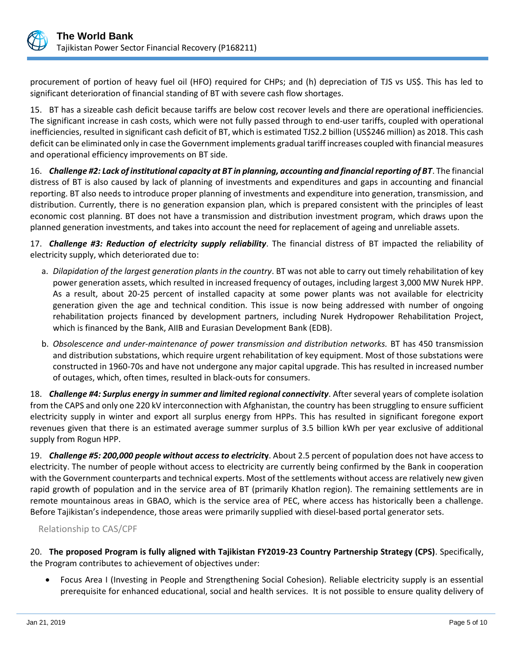

procurement of portion of heavy fuel oil (HFO) required for CHPs; and (h) depreciation of TJS vs US\$. This has led to significant deterioration of financial standing of BT with severe cash flow shortages.

15. BT has a sizeable cash deficit because tariffs are below cost recover levels and there are operational inefficiencies. The significant increase in cash costs, which were not fully passed through to end-user tariffs, coupled with operational inefficiencies, resulted in significant cash deficit of BT, which is estimated TJS2.2 billion (US\$246 million) as 2018. This cash deficit can be eliminated only in case the Government implements gradual tariff increases coupled with financial measures and operational efficiency improvements on BT side.

16. *Challenge #2: Lack of institutional capacity at BT in planning, accounting and financial reporting of BT*. The financial distress of BT is also caused by lack of planning of investments and expenditures and gaps in accounting and financial reporting. BT also needs to introduce proper planning of investments and expenditure into generation, transmission, and distribution. Currently, there is no generation expansion plan, which is prepared consistent with the principles of least economic cost planning. BT does not have a transmission and distribution investment program, which draws upon the planned generation investments, and takes into account the need for replacement of ageing and unreliable assets.

17. *Challenge #3: Reduction of electricity supply reliability*. The financial distress of BT impacted the reliability of electricity supply, which deteriorated due to:

- a. *Dilapidation of the largest generation plants in the country*. BT was not able to carry out timely rehabilitation of key power generation assets, which resulted in increased frequency of outages, including largest 3,000 MW Nurek HPP. As a result, about 20-25 percent of installed capacity at some power plants was not available for electricity generation given the age and technical condition. This issue is now being addressed with number of ongoing rehabilitation projects financed by development partners, including Nurek Hydropower Rehabilitation Project, which is financed by the Bank, AIIB and Eurasian Development Bank (EDB).
- b. *Obsolescence and under-maintenance of power transmission and distribution networks.* BT has 450 transmission and distribution substations, which require urgent rehabilitation of key equipment. Most of those substations were constructed in 1960-70s and have not undergone any major capital upgrade. This has resulted in increased number of outages, which, often times, resulted in black-outs for consumers.

18. *Challenge #4: Surplus energy in summer and limited regional connectivity*. After several years of complete isolation from the CAPS and only one 220 kV interconnection with Afghanistan, the country has been struggling to ensure sufficient electricity supply in winter and export all surplus energy from HPPs. This has resulted in significant foregone export revenues given that there is an estimated average summer surplus of 3.5 billion kWh per year exclusive of additional supply from Rogun HPP.

19. *Challenge #5: 200,000 people without access to electricit***y**. About 2.5 percent of population does not have access to electricity. The number of people without access to electricity are currently being confirmed by the Bank in cooperation with the Government counterparts and technical experts. Most of the settlements without access are relatively new given rapid growth of population and in the service area of BT (primarily Khatlon region). The remaining settlements are in remote mountainous areas in GBAO, which is the service area of PEC, where access has historically been a challenge. Before Tajikistan's independence, those areas were primarily supplied with diesel-based portal generator sets.

# Relationship to CAS/CPF

20. **The proposed Program is fully aligned with Tajikistan FY2019-23 Country Partnership Strategy (CPS)**. Specifically, the Program contributes to achievement of objectives under:

• Focus Area I (Investing in People and Strengthening Social Cohesion). Reliable electricity supply is an essential prerequisite for enhanced educational, social and health services. It is not possible to ensure quality delivery of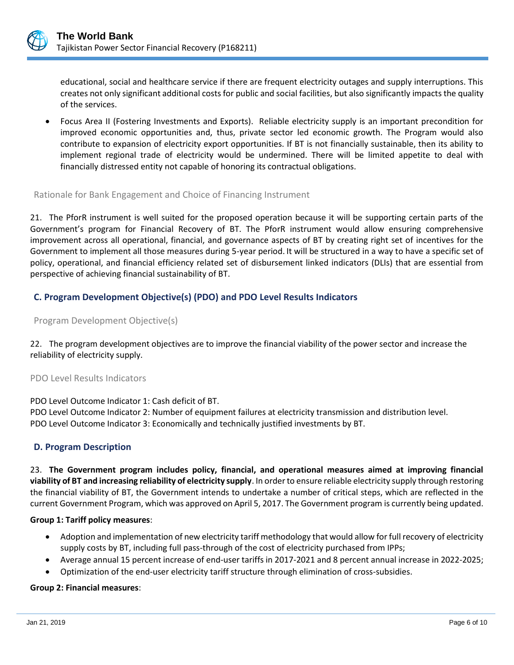

educational, social and healthcare service if there are frequent electricity outages and supply interruptions. This creates not only significant additional costs for public and social facilities, but also significantly impacts the quality of the services.

• Focus Area II (Fostering Investments and Exports). Reliable electricity supply is an important precondition for improved economic opportunities and, thus, private sector led economic growth. The Program would also contribute to expansion of electricity export opportunities. If BT is not financially sustainable, then its ability to implement regional trade of electricity would be undermined. There will be limited appetite to deal with financially distressed entity not capable of honoring its contractual obligations.

#### Rationale for Bank Engagement and Choice of Financing Instrument

21. The PforR instrument is well suited for the proposed operation because it will be supporting certain parts of the Government's program for Financial Recovery of BT. The PforR instrument would allow ensuring comprehensive improvement across all operational, financial, and governance aspects of BT by creating right set of incentives for the Government to implement all those measures during 5-year period. It will be structured in a way to have a specific set of policy, operational, and financial efficiency related set of disbursement linked indicators (DLIs) that are essential from perspective of achieving financial sustainability of BT.

# **C. Program Development Objective(s) (PDO) and PDO Level Results Indicators**

#### Program Development Objective(s)

22. The program development objectives are to improve the financial viability of the power sector and increase the reliability of electricity supply.

#### PDO Level Results Indicators

PDO Level Outcome Indicator 1: Cash deficit of BT.

PDO Level Outcome Indicator 2: Number of equipment failures at electricity transmission and distribution level.

PDO Level Outcome Indicator 3: Economically and technically justified investments by BT.

# **D. Program Description**

23. **The Government program includes policy, financial, and operational measures aimed at improving financial viability of BT and increasing reliability of electricity supply**. In order to ensure reliable electricity supply through restoring the financial viability of BT, the Government intends to undertake a number of critical steps, which are reflected in the current Government Program, which was approved on April 5, 2017. The Government program is currently being updated.

#### **Group 1: Tariff policy measures**:

- Adoption and implementation of new electricity tariff methodology that would allow for full recovery of electricity supply costs by BT, including full pass-through of the cost of electricity purchased from IPPs;
- Average annual 15 percent increase of end-user tariffs in 2017-2021 and 8 percent annual increase in 2022-2025;
- Optimization of the end-user electricity tariff structure through elimination of cross-subsidies.

#### **Group 2: Financial measures**: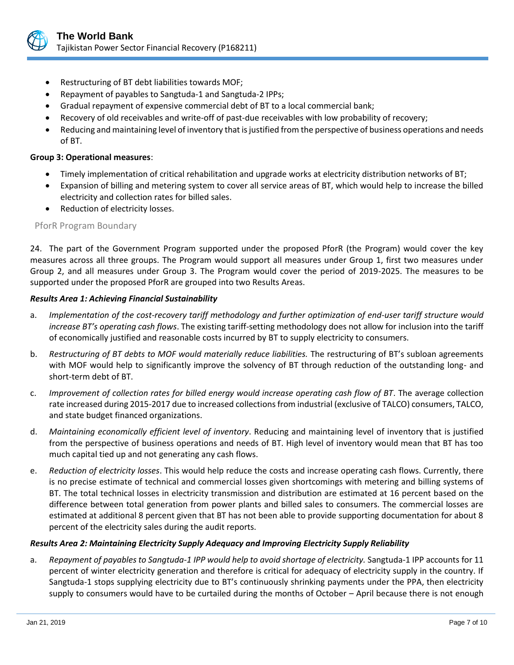

- Restructuring of BT debt liabilities towards MOF;
- Repayment of payables to Sangtuda-1 and Sangtuda-2 IPPs;
- Gradual repayment of expensive commercial debt of BT to a local commercial bank;
- Recovery of old receivables and write-off of past-due receivables with low probability of recovery;
- Reducing and maintaining level of inventory that is justified from the perspective of business operations and needs of BT.

#### **Group 3: Operational measures**:

- Timely implementation of critical rehabilitation and upgrade works at electricity distribution networks of BT;
- Expansion of billing and metering system to cover all service areas of BT, which would help to increase the billed electricity and collection rates for billed sales.
- Reduction of electricity losses.

#### PforR Program Boundary

24. The part of the Government Program supported under the proposed PforR (the Program) would cover the key measures across all three groups. The Program would support all measures under Group 1, first two measures under Group 2, and all measures under Group 3. The Program would cover the period of 2019-2025. The measures to be supported under the proposed PforR are grouped into two Results Areas.

#### *Results Area 1: Achieving Financial Sustainability*

- a. *Implementation of the cost-recovery tariff methodology and further optimization of end-user tariff structure would increase BT's operating cash flows*. The existing tariff-setting methodology does not allow for inclusion into the tariff of economically justified and reasonable costs incurred by BT to supply electricity to consumers.
- b. *Restructuring of BT debts to MOF would materially reduce liabilities.* The restructuring of BT's subloan agreements with MOF would help to significantly improve the solvency of BT through reduction of the outstanding long- and short-term debt of BT.
- c. *Improvement of collection rates for billed energy would increase operating cash flow of BT*. The average collection rate increased during 2015-2017 due to increased collections from industrial (exclusive of TALCO) consumers, TALCO, and state budget financed organizations.
- d. *Maintaining economically efficient level of inventory*. Reducing and maintaining level of inventory that is justified from the perspective of business operations and needs of BT. High level of inventory would mean that BT has too much capital tied up and not generating any cash flows.
- e. *Reduction of electricity losses*. This would help reduce the costs and increase operating cash flows. Currently, there is no precise estimate of technical and commercial losses given shortcomings with metering and billing systems of BT. The total technical losses in electricity transmission and distribution are estimated at 16 percent based on the difference between total generation from power plants and billed sales to consumers. The commercial losses are estimated at additional 8 percent given that BT has not been able to provide supporting documentation for about 8 percent of the electricity sales during the audit reports.

#### *Results Area 2: Maintaining Electricity Supply Adequacy and Improving Electricity Supply Reliability*

a. *Repayment of payables to Sangtuda-1 IPP would help to avoid shortage of electricity.* Sangtuda-1 IPP accounts for 11 percent of winter electricity generation and therefore is critical for adequacy of electricity supply in the country. If Sangtuda-1 stops supplying electricity due to BT's continuously shrinking payments under the PPA, then electricity supply to consumers would have to be curtailed during the months of October – April because there is not enough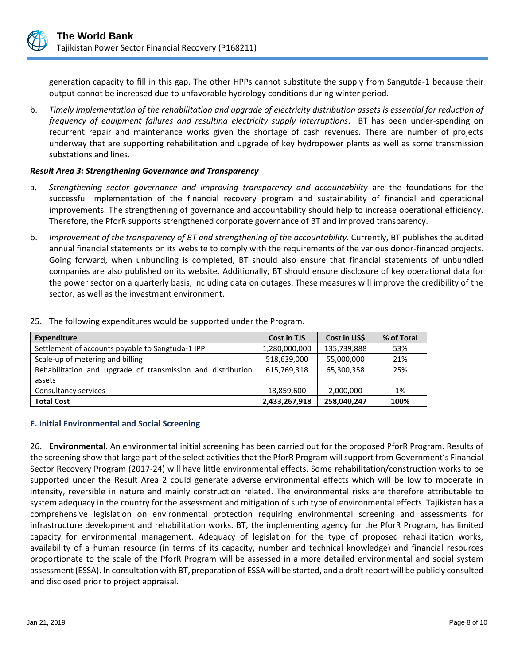generation capacity to fill in this gap. The other HPPs cannot substitute the supply from Sangutda-1 because their output cannot be increased due to unfavorable hydrology conditions during winter period.

b. *Timely implementation of the rehabilitation and upgrade of electricity distribution assets is essential for reduction of frequency of equipment failures and resulting electricity supply interruptions*. BT has been under-spending on recurrent repair and maintenance works given the shortage of cash revenues. There are number of projects underway that are supporting rehabilitation and upgrade of key hydropower plants as well as some transmission substations and lines.

#### *Result Area 3: Strengthening Governance and Transparency*

- a. *Strengthening sector governance and improving transparency and accountability* are the foundations for the successful implementation of the financial recovery program and sustainability of financial and operational improvements. The strengthening of governance and accountability should help to increase operational efficiency. Therefore, the PforR supports strengthened corporate governance of BT and improved transparency.
- b. *Improvement of the transparency of BT and strengthening of the accountability*. Currently, BT publishes the audited annual financial statements on its website to comply with the requirements of the various donor-financed projects. Going forward, when unbundling is completed, BT should also ensure that financial statements of unbundled companies are also published on its website. Additionally, BT should ensure disclosure of key operational data for the power sector on a quarterly basis, including data on outages. These measures will improve the credibility of the sector, as well as the investment environment.

| <b>Expenditure</b>                                          | <b>Cost in TJS</b> | Cost in US\$ | % of Total |
|-------------------------------------------------------------|--------------------|--------------|------------|
| Settlement of accounts payable to Sangtuda-1 IPP            | 1,280,000,000      | 135,739,888  | 53%        |
| Scale-up of metering and billing                            | 518,639,000        | 55,000,000   | 21%        |
| Rehabilitation and upgrade of transmission and distribution | 615,769,318        | 65,300,358   | 25%        |
| assets                                                      |                    |              |            |
| Consultancy services                                        | 18,859,600         | 2,000,000    | 1%         |
| <b>Total Cost</b>                                           | 2,433,267,918      | 258,040,247  | 100%       |

25. The following expenditures would be supported under the Program.

# **E. Initial Environmental and Social Screening**

26. **Environmental**. An environmental initial screening has been carried out for the proposed PforR Program. Results of the screening show that large part of the select activities that the PforR Program will support from Government's Financial Sector Recovery Program (2017-24) will have little environmental effects. Some rehabilitation/construction works to be supported under the Result Area 2 could generate adverse environmental effects which will be low to moderate in intensity, reversible in nature and mainly construction related. The environmental risks are therefore attributable to system adequacy in the country for the assessment and mitigation of such type of environmental effects. Tajikistan has a comprehensive legislation on environmental protection requiring environmental screening and assessments for infrastructure development and rehabilitation works. BT, the implementing agency for the PforR Program, has limited capacity for environmental management. Adequacy of legislation for the type of proposed rehabilitation works, availability of a human resource (in terms of its capacity, number and technical knowledge) and financial resources proportionate to the scale of the PforR Program will be assessed in a more detailed environmental and social system assessment (ESSA). In consultation with BT, preparation of ESSA will be started, and a draft report will be publicly consulted and disclosed prior to project appraisal.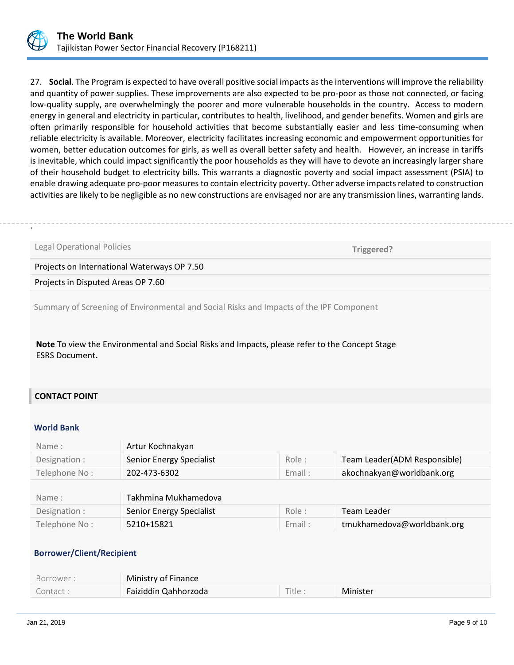

27. **Social**. The Program is expected to have overall positive social impacts as the interventions will improve the reliability and quantity of power supplies. These improvements are also expected to be pro-poor as those not connected, or facing low-quality supply, are overwhelmingly the poorer and more vulnerable households in the country. Access to modern energy in general and electricity in particular, contributes to health, livelihood, and gender benefits. Women and girls are often primarily responsible for household activities that become substantially easier and less time-consuming when reliable electricity is available. Moreover, electricity facilitates increasing economic and empowerment opportunities for women, better education outcomes for girls, as well as overall better safety and health. However, an increase in tariffs is inevitable, which could impact significantly the poor households as they will have to devote an increasingly larger share of their household budget to electricity bills. This warrants a diagnostic poverty and social impact assessment (PSIA) to enable drawing adequate pro-poor measures to contain electricity poverty. Other adverse impacts related to construction activities are likely to be negligible as no new constructions are envisaged nor are any transmission lines, warranting lands.

# ..

Legal Operational Policies

 **Triggered?**

Projects on International Waterways OP 7.50

Projects in Disputed Areas OP 7.60

Summary of Screening of Environmental and Social Risks and Impacts of the IPF Component

**Note** To view the Environmental and Social Risks and Impacts, please refer to the Concept Stage ESRS Document**.**

# **CONTACT POINT**

#### **World Bank**

| Name:         | Artur Kochnakyan         |        |                              |
|---------------|--------------------------|--------|------------------------------|
| Designation : | Senior Energy Specialist | Role:  | Team Leader(ADM Responsible) |
| Telephone No: | 202-473-6302             | Email: | akochnakyan@worldbank.org    |
|               |                          |        |                              |
| Name:         | Takhmina Mukhamedova     |        |                              |
| Designation : | Senior Energy Specialist | Role:  | Team Leader                  |
| Telephone No: | 5210+15821               | Email: | tmukhamedova@worldbank.org   |

#### **Borrower/Client/Recipient**

| Borrower : | Ministry of Finance  |         |          |
|------------|----------------------|---------|----------|
| Contact :  | Faiziddin Qahhorzoda | Title : | Minister |